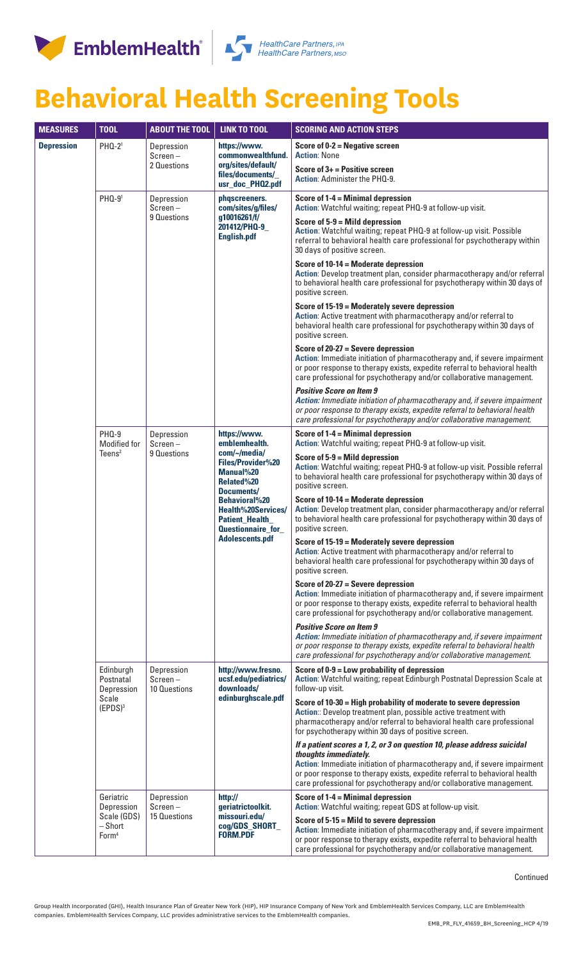



## **Behavioral Health Screening Tools**

| <b>MEASURES</b>   | <b>TOOL</b>                                                            | <b>ABOUT THE TOOL</b>                    | <b>LINK TO TOOL</b>                                                                                                                                                                                                                        | <b>SCORING AND ACTION STEPS</b>                                                                                                                                                                                                                                                                                                      |
|-------------------|------------------------------------------------------------------------|------------------------------------------|--------------------------------------------------------------------------------------------------------------------------------------------------------------------------------------------------------------------------------------------|--------------------------------------------------------------------------------------------------------------------------------------------------------------------------------------------------------------------------------------------------------------------------------------------------------------------------------------|
| <b>Depression</b> | PHQ-2 <sup>1</sup>                                                     | Depression<br>$Screen -$<br>2 Questions  | https://www.<br>commonwealthfund.<br>org/sites/default/<br>files/documents/<br>usr_doc_PHQ2.pdf                                                                                                                                            | Score of $0-2$ = Negative screen<br><b>Action: None</b>                                                                                                                                                                                                                                                                              |
|                   |                                                                        |                                          |                                                                                                                                                                                                                                            | Score of $3+$ = Positive screen<br>Action: Administer the PHQ-9.                                                                                                                                                                                                                                                                     |
|                   | PHQ-91                                                                 | Depression<br>$Screen -$<br>9 Questions  | phqscreeners.<br>com/sites/g/files/<br>g10016261/f/<br>201412/PHQ-9_<br><b>English.pdf</b>                                                                                                                                                 | Score of 1-4 = Minimal depression<br>Action: Watchful waiting; repeat PHQ-9 at follow-up visit.                                                                                                                                                                                                                                      |
|                   |                                                                        |                                          |                                                                                                                                                                                                                                            | Score of $5-9 =$ Mild depression<br>Action: Watchful waiting; repeat PHQ-9 at follow-up visit. Possible<br>referral to behavioral health care professional for psychotherapy within<br>30 days of positive screen.                                                                                                                   |
|                   |                                                                        |                                          |                                                                                                                                                                                                                                            | Score of 10-14 = Moderate depression<br>Action: Develop treatment plan, consider pharmacotherapy and/or referral<br>to behavioral health care professional for psychotherapy within 30 days of<br>positive screen.                                                                                                                   |
|                   |                                                                        |                                          |                                                                                                                                                                                                                                            | Score of 15-19 = Moderately severe depression<br>Action: Active treatment with pharmacotherapy and/or referral to<br>behavioral health care professional for psychotherapy within 30 days of<br>positive screen.                                                                                                                     |
|                   |                                                                        |                                          |                                                                                                                                                                                                                                            | Score of $20-27$ = Severe depression<br>Action: Immediate initiation of pharmacotherapy and, if severe impairment<br>or poor response to therapy exists, expedite referral to behavioral health<br>care professional for psychotherapy and/or collaborative management.                                                              |
|                   |                                                                        |                                          |                                                                                                                                                                                                                                            | <b>Positive Score on Item 9</b><br>Action: Immediate initiation of pharmacotherapy and, if severe impairment<br>or poor response to therapy exists, expedite referral to behavioral health<br>care professional for psychotherapy and/or collaborative management.                                                                   |
|                   | <b>PHQ-9</b><br>Modified for                                           | Depression<br>$Screen -$<br>9 Questions  | https://www.<br>emblemhealth.<br>com/~/media/<br>Files/Provider%20<br>Manual%20<br>Related%20<br>Documents/<br><b>Behavioral%20</b><br><b>Health%20Services/</b><br><b>Patient_Health_</b><br>Questionnaire_for_<br><b>Adolescents.pdf</b> | Score of 1-4 = Minimal depression<br>Action: Watchful waiting; repeat PHQ-9 at follow-up visit.                                                                                                                                                                                                                                      |
|                   | Teens <sup>2</sup>                                                     |                                          |                                                                                                                                                                                                                                            | Score of 5-9 = Mild depression<br>Action: Watchful waiting; repeat PHQ-9 at follow-up visit. Possible referral<br>to behavioral health care professional for psychotherapy within 30 days of<br>positive screen.                                                                                                                     |
|                   |                                                                        |                                          |                                                                                                                                                                                                                                            | Score of 10-14 = Moderate depression<br>Action: Develop treatment plan, consider pharmacotherapy and/or referral<br>to behavioral health care professional for psychotherapy within 30 days of<br>positive screen.                                                                                                                   |
|                   |                                                                        |                                          |                                                                                                                                                                                                                                            | Score of 15-19 = Moderately severe depression<br>Action: Active treatment with pharmacotherapy and/or referral to<br>behavioral health care professional for psychotherapy within 30 days of<br>positive screen.                                                                                                                     |
|                   |                                                                        |                                          |                                                                                                                                                                                                                                            | Score of $20-27$ = Severe depression<br>Action: Immediate initiation of pharmacotherapy and, if severe impairment<br>or poor response to therapy exists, expedite referral to behavioral health<br>care professional for psychotherapy and/or collaborative management.                                                              |
|                   |                                                                        |                                          |                                                                                                                                                                                                                                            | <b>Positive Score on Item 9</b><br>Action: Immediate initiation of pharmacotherapy and, if severe impairment<br>or poor response to therapy exists, expedite referral to behavioral health<br>care professional for psychotherapy and/or collaborative management.                                                                   |
|                   | Edinburgh<br>Postnatal<br>Depression<br>Scale<br>(EPDS) <sup>3</sup>   | Depression<br>$Screen -$<br>10 Questions | http://www.fresno.<br>ucsf.edu/pediatrics/<br>downloads/<br>edinburghscale.pdf                                                                                                                                                             | Score of $0-9 =$ Low probability of depression<br>Action: Watchful waiting; repeat Edinburgh Postnatal Depression Scale at<br>follow-up visit.                                                                                                                                                                                       |
|                   |                                                                        |                                          |                                                                                                                                                                                                                                            | Score of 10-30 = High probability of moderate to severe depression<br>Action: Develop treatment plan, possible active treatment with<br>pharmacotherapy and/or referral to behavioral health care professional<br>for psychotherapy within 30 days of positive screen.                                                               |
|                   |                                                                        |                                          |                                                                                                                                                                                                                                            | If a patient scores a 1, 2, or 3 on question 10, please address suicidal<br>thoughts immediately.<br>Action: Immediate initiation of pharmacotherapy and, if severe impairment<br>or poor response to therapy exists, expedite referral to behavioral health<br>care professional for psychotherapy and/or collaborative management. |
|                   | Geriatric<br>Depression<br>Scale (GDS)<br>- Short<br>Form <sup>4</sup> | Depression<br>$Screen -$<br>15 Questions | http://<br>geriatrictoolkit.<br>missouri.edu/<br>cog/GDS_SHORT_<br><b>FORM.PDF</b>                                                                                                                                                         | Score of 1-4 = Minimal depression<br>Action: Watchful waiting; repeat GDS at follow-up visit.                                                                                                                                                                                                                                        |
|                   |                                                                        |                                          |                                                                                                                                                                                                                                            | Score of 5-15 = Mild to severe depression<br>Action: Immediate initiation of pharmacotherapy and, if severe impairment<br>or poor response to therapy exists, expedite referral to behavioral health<br>care professional for psychotherapy and/or collaborative management.                                                         |

**Continued**